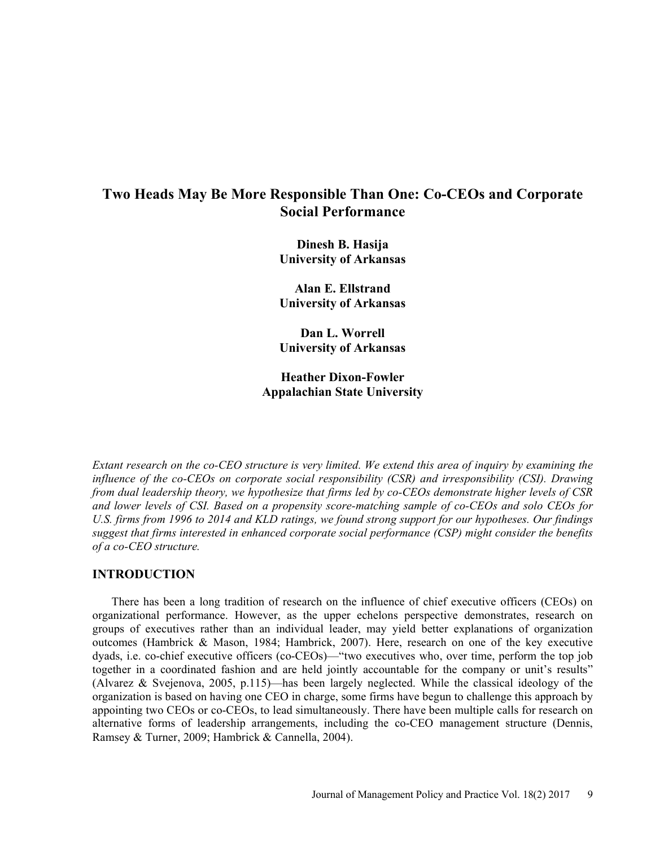# Two Heads May Be More Responsible Than One: Co-CEOs and Corporate Social Performance

Dinesh B. Hasija University of Arkansas

Alan E. Ellstrand University of Arkansas

Dan L. Worrell University of Arkansas

Heather Dixon-Fowler Appalachian State University

Extant research on the co-CEO structure is very limited. We extend this area of inquiry by examining the influence of the co-CEOs on corporate social responsibility (CSR) and irresponsibility (CSI). Drawing from dual leadership theory, we hypothesize that firms led by co-CEOs demonstrate higher levels of CSR and lower levels of CSI. Based on a propensity score-matching sample of co-CEOs and solo CEOs for U.S. firms from 1996 to 2014 and KLD ratings, we found strong support for our hypotheses. Our findings suggest that firms interested in enhanced corporate social performance (CSP) might consider the benefits of a co-CEO structure.

# INTRODUCTION

There has been a long tradition of research on the influence of chief executive officers (CEOs) on organizational performance. However, as the upper echelons perspective demonstrates, research on groups of executives rather than an individual leader, may yield better explanations of organization outcomes (Hambrick & Mason, 1984; Hambrick, 2007). Here, research on one of the key executive dyads, i.e. co-chief executive officers (co-CEOs)—"two executives who, over time, perform the top job together in a coordinated fashion and are held jointly accountable for the company or unit's results" (Alvarez & Svejenova, 2005, p.115)—has been largely neglected. While the classical ideology of the organization is based on having one CEO in charge, some firms have begun to challenge this approach by appointing two CEOs or co-CEOs, to lead simultaneously. There have been multiple calls for research on alternative forms of leadership arrangements, including the co-CEO management structure (Dennis, Ramsey & Turner, 2009; Hambrick & Cannella, 2004).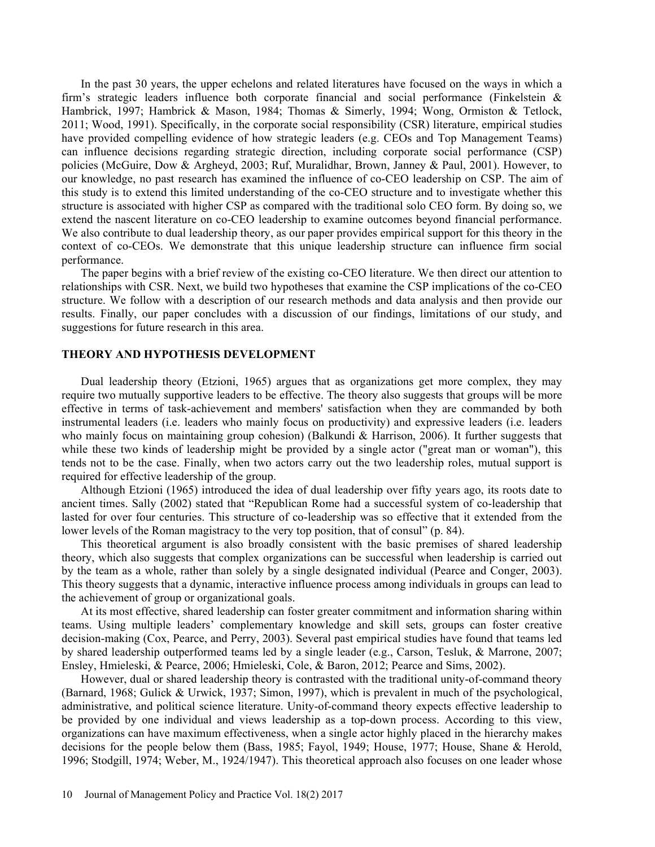In the past 30 years, the upper echelons and related literatures have focused on the ways in which a firm's strategic leaders influence both corporate financial and social performance (Finkelstein  $\&$ Hambrick, 1997; Hambrick & Mason, 1984; Thomas & Simerly, 1994; Wong, Ormiston & Tetlock, 2011; Wood, 1991). Specifically, in the corporate social responsibility (CSR) literature, empirical studies have provided compelling evidence of how strategic leaders (e.g. CEOs and Top Management Teams) can influence decisions regarding strategic direction, including corporate social performance (CSP) policies (McGuire, Dow & Argheyd, 2003; Ruf, Muralidhar, Brown, Janney & Paul, 2001). However, to our knowledge, no past research has examined the influence of co-CEO leadership on CSP. The aim of this study is to extend this limited understanding of the co-CEO structure and to investigate whether this structure is associated with higher CSP as compared with the traditional solo CEO form. By doing so, we extend the nascent literature on co-CEO leadership to examine outcomes beyond financial performance. We also contribute to dual leadership theory, as our paper provides empirical support for this theory in the context of co-CEOs. We demonstrate that this unique leadership structure can influence firm social performance.

The paper begins with a brief review of the existing co-CEO literature. We then direct our attention to relationships with CSR. Next, we build two hypotheses that examine the CSP implications of the co-CEO structure. We follow with a description of our research methods and data analysis and then provide our results. Finally, our paper concludes with a discussion of our findings, limitations of our study, and suggestions for future research in this area.

## THEORY AND HYPOTHESIS DEVELOPMENT

Dual leadership theory (Etzioni, 1965) argues that as organizations get more complex, they may require two mutually supportive leaders to be effective. The theory also suggests that groups will be more effective in terms of task-achievement and members' satisfaction when they are commanded by both instrumental leaders (i.e. leaders who mainly focus on productivity) and expressive leaders (i.e. leaders who mainly focus on maintaining group cohesion) (Balkundi & Harrison, 2006). It further suggests that while these two kinds of leadership might be provided by a single actor ("great man or woman"), this tends not to be the case. Finally, when two actors carry out the two leadership roles, mutual support is required for effective leadership of the group.

Although Etzioni (1965) introduced the idea of dual leadership over fifty years ago, its roots date to ancient times. Sally (2002) stated that "Republican Rome had a successful system of co-leadership that lasted for over four centuries. This structure of co-leadership was so effective that it extended from the lower levels of the Roman magistracy to the very top position, that of consul" (p. 84).

This theoretical argument is also broadly consistent with the basic premises of shared leadership theory, which also suggests that complex organizations can be successful when leadership is carried out by the team as a whole, rather than solely by a single designated individual (Pearce and Conger, 2003). This theory suggests that a dynamic, interactive influence process among individuals in groups can lead to the achievement of group or organizational goals.

At its most effective, shared leadership can foster greater commitment and information sharing within teams. Using multiple leaders' complementary knowledge and skill sets, groups can foster creative decision-making (Cox, Pearce, and Perry, 2003). Several past empirical studies have found that teams led by shared leadership outperformed teams led by a single leader (e.g., Carson, Tesluk, & Marrone, 2007; Ensley, Hmieleski, & Pearce, 2006; Hmieleski, Cole, & Baron, 2012; Pearce and Sims, 2002).

However, dual or shared leadership theory is contrasted with the traditional unity-of-command theory (Barnard, 1968; Gulick & Urwick, 1937; Simon, 1997), which is prevalent in much of the psychological, administrative, and political science literature. Unity-of-command theory expects effective leadership to be provided by one individual and views leadership as a top-down process. According to this view, organizations can have maximum effectiveness, when a single actor highly placed in the hierarchy makes decisions for the people below them (Bass, 1985; Fayol, 1949; House, 1977; House, Shane & Herold, 1996; Stodgill, 1974; Weber, M., 1924/1947). This theoretical approach also focuses on one leader whose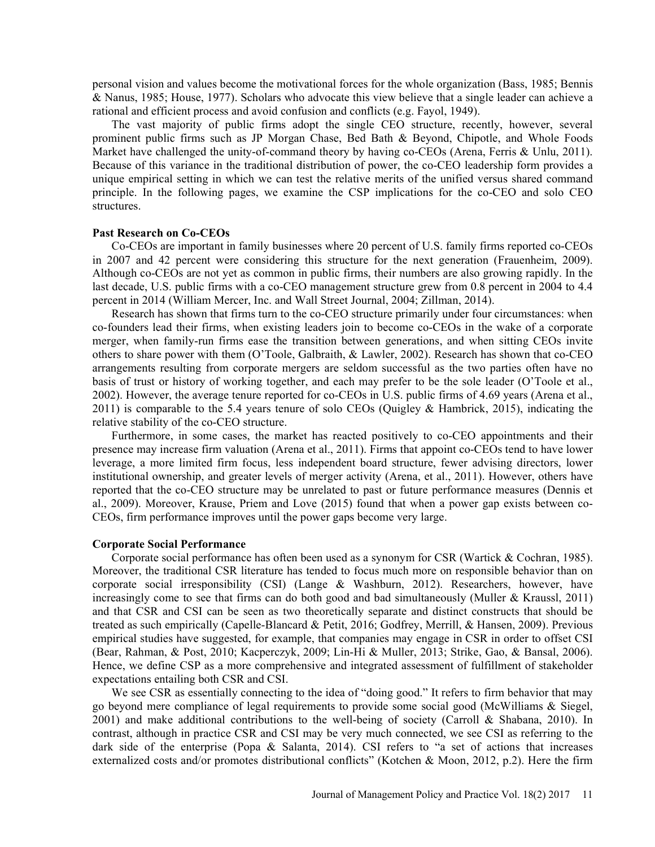personal vision and values become the motivational forces for the whole organization (Bass, 1985; Bennis & Nanus, 1985; House, 1977). Scholars who advocate this view believe that a single leader can achieve a rational and efficient process and avoid confusion and conflicts (e.g. Fayol, 1949).

The vast majority of public firms adopt the single CEO structure, recently, however, several prominent public firms such as JP Morgan Chase, Bed Bath & Beyond, Chipotle, and Whole Foods Market have challenged the unity-of-command theory by having co-CEOs (Arena, Ferris & Unlu, 2011). Because of this variance in the traditional distribution of power, the co-CEO leadership form provides a unique empirical setting in which we can test the relative merits of the unified versus shared command principle. In the following pages, we examine the CSP implications for the co-CEO and solo CEO structures.

## Past Research on Co-CEOs

Co-CEOs are important in family businesses where 20 percent of U.S. family firms reported co-CEOs in 2007 and 42 percent were considering this structure for the next generation (Frauenheim, 2009). Although co-CEOs are not yet as common in public firms, their numbers are also growing rapidly. In the last decade, U.S. public firms with a co-CEO management structure grew from 0.8 percent in 2004 to 4.4 percent in 2014 (William Mercer, Inc. and Wall Street Journal, 2004; Zillman, 2014).

Research has shown that firms turn to the co-CEO structure primarily under four circumstances: when co-founders lead their firms, when existing leaders join to become co-CEOs in the wake of a corporate merger, when family-run firms ease the transition between generations, and when sitting CEOs invite others to share power with them (OToole, Galbraith, & Lawler, 2002). Research has shown that co-CEO arrangements resulting from corporate mergers are seldom successful as the two parties often have no basis of trust or history of working together, and each may prefer to be the sole leader (OToole et al., 2002). However, the average tenure reported for co-CEOs in U.S. public firms of 4.69 years (Arena et al., 2011) is comparable to the 5.4 years tenure of solo CEOs (Quigley & Hambrick, 2015), indicating the relative stability of the co-CEO structure.

Furthermore, in some cases, the market has reacted positively to co-CEO appointments and their presence may increase firm valuation (Arena et al., 2011). Firms that appoint co-CEOs tend to have lower leverage, a more limited firm focus, less independent board structure, fewer advising directors, lower institutional ownership, and greater levels of merger activity (Arena, et al., 2011). However, others have reported that the co-CEO structure may be unrelated to past or future performance measures (Dennis et al., 2009). Moreover, Krause, Priem and Love (2015) found that when a power gap exists between co-CEOs, firm performance improves until the power gaps become very large.

#### Corporate Social Performance

Corporate social performance has often been used as a synonym for CSR (Wartick & Cochran, 1985). Moreover, the traditional CSR literature has tended to focus much more on responsible behavior than on corporate social irresponsibility (CSI) (Lange & Washburn, 2012). Researchers, however, have increasingly come to see that firms can do both good and bad simultaneously (Muller & Kraussl, 2011) and that CSR and CSI can be seen as two theoretically separate and distinct constructs that should be treated as such empirically (Capelle-Blancard & Petit, 2016; Godfrey, Merrill, & Hansen, 2009). Previous empirical studies have suggested, for example, that companies may engage in CSR in order to offset CSI (Bear, Rahman, & Post, 2010; Kacperczyk, 2009; Lin-Hi & Muller, 2013; Strike, Gao, & Bansal, 2006). Hence, we define CSP as a more comprehensive and integrated assessment of fulfillment of stakeholder expectations entailing both CSR and CSI.

We see CSR as essentially connecting to the idea of "doing good." It refers to firm behavior that may go beyond mere compliance of legal requirements to provide some social good (McWilliams & Siegel, 2001) and make additional contributions to the well-being of society (Carroll & Shabana, 2010). In contrast, although in practice CSR and CSI may be very much connected, we see CSI as referring to the dark side of the enterprise (Popa & Salanta, 2014). CSI refers to "a set of actions that increases externalized costs and/or promotes distributional conflicts" (Kotchen & Moon, 2012, p.2). Here the firm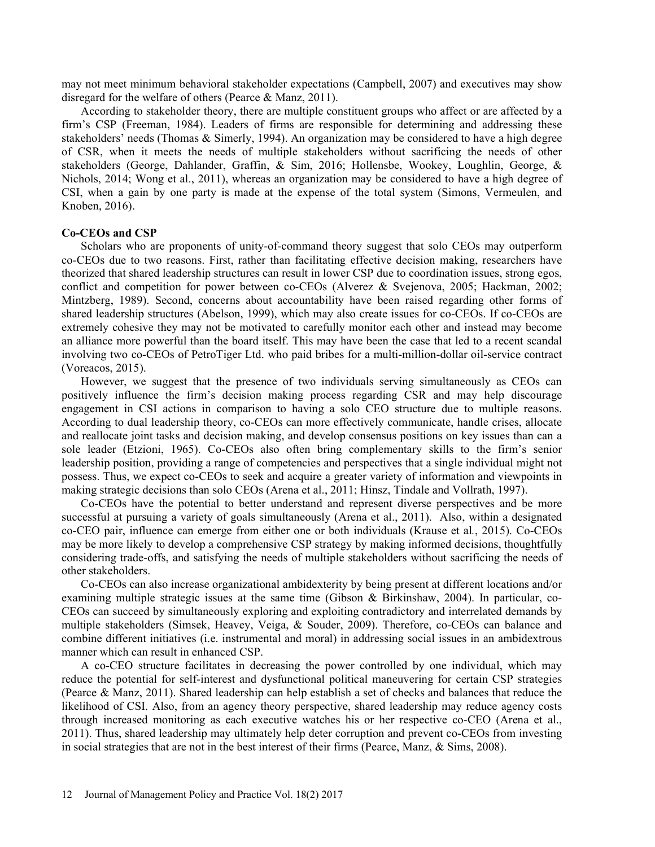may not meet minimum behavioral stakeholder expectations (Campbell, 2007) and executives may show disregard for the welfare of others (Pearce & Manz, 2011).

According to stakeholder theory, there are multiple constituent groups who affect or are affected by a firm's CSP (Freeman, 1984). Leaders of firms are responsible for determining and addressing these stakeholders' needs (Thomas  $&$  Simerly, 1994). An organization may be considered to have a high degree of CSR, when it meets the needs of multiple stakeholders without sacrificing the needs of other stakeholders (George, Dahlander, Graffin, & Sim, 2016; Hollensbe, Wookey, Loughlin, George, & Nichols, 2014; Wong et al., 2011), whereas an organization may be considered to have a high degree of CSI, when a gain by one party is made at the expense of the total system (Simons, Vermeulen, and Knoben, 2016).

### Co-CEOs and CSP

Scholars who are proponents of unity-of-command theory suggest that solo CEOs may outperform co-CEOs due to two reasons. First, rather than facilitating effective decision making, researchers have theorized that shared leadership structures can result in lower CSP due to coordination issues, strong egos, conflict and competition for power between co-CEOs (Alverez & Svejenova, 2005; Hackman, 2002; Mintzberg, 1989). Second, concerns about accountability have been raised regarding other forms of shared leadership structures (Abelson, 1999), which may also create issues for co-CEOs. If co-CEOs are extremely cohesive they may not be motivated to carefully monitor each other and instead may become an alliance more powerful than the board itself. This may have been the case that led to a recent scandal involving two co-CEOs of PetroTiger Ltd. who paid bribes for a multi-million-dollar oil-service contract (Voreacos, 2015).

However, we suggest that the presence of two individuals serving simultaneously as CEOs can positively influence the firm's decision making process regarding CSR and may help discourage engagement in CSI actions in comparison to having a solo CEO structure due to multiple reasons. According to dual leadership theory, co-CEOs can more effectively communicate, handle crises, allocate and reallocate joint tasks and decision making, and develop consensus positions on key issues than can a sole leader (Etzioni, 1965). Co-CEOs also often bring complementary skills to the firm's senior leadership position, providing a range of competencies and perspectives that a single individual might not possess. Thus, we expect co-CEOs to seek and acquire a greater variety of information and viewpoints in making strategic decisions than solo CEOs (Arena et al., 2011; Hinsz, Tindale and Vollrath, 1997).

Co-CEOs have the potential to better understand and represent diverse perspectives and be more successful at pursuing a variety of goals simultaneously (Arena et al., 2011). Also, within a designated co-CEO pair, influence can emerge from either one or both individuals (Krause et al., 2015). Co-CEOs may be more likely to develop a comprehensive CSP strategy by making informed decisions, thoughtfully considering trade-offs, and satisfying the needs of multiple stakeholders without sacrificing the needs of other stakeholders.

Co-CEOs can also increase organizational ambidexterity by being present at different locations and/or examining multiple strategic issues at the same time (Gibson & Birkinshaw, 2004). In particular, co-CEOs can succeed by simultaneously exploring and exploiting contradictory and interrelated demands by multiple stakeholders (Simsek, Heavey, Veiga, & Souder, 2009). Therefore, co-CEOs can balance and combine different initiatives (i.e. instrumental and moral) in addressing social issues in an ambidextrous manner which can result in enhanced CSP.

A co-CEO structure facilitates in decreasing the power controlled by one individual, which may reduce the potential for self-interest and dysfunctional political maneuvering for certain CSP strategies (Pearce & Manz, 2011). Shared leadership can help establish a set of checks and balances that reduce the likelihood of CSI. Also, from an agency theory perspective, shared leadership may reduce agency costs through increased monitoring as each executive watches his or her respective co-CEO (Arena et al., 2011). Thus, shared leadership may ultimately help deter corruption and prevent co-CEOs from investing in social strategies that are not in the best interest of their firms (Pearce, Manz, & Sims, 2008).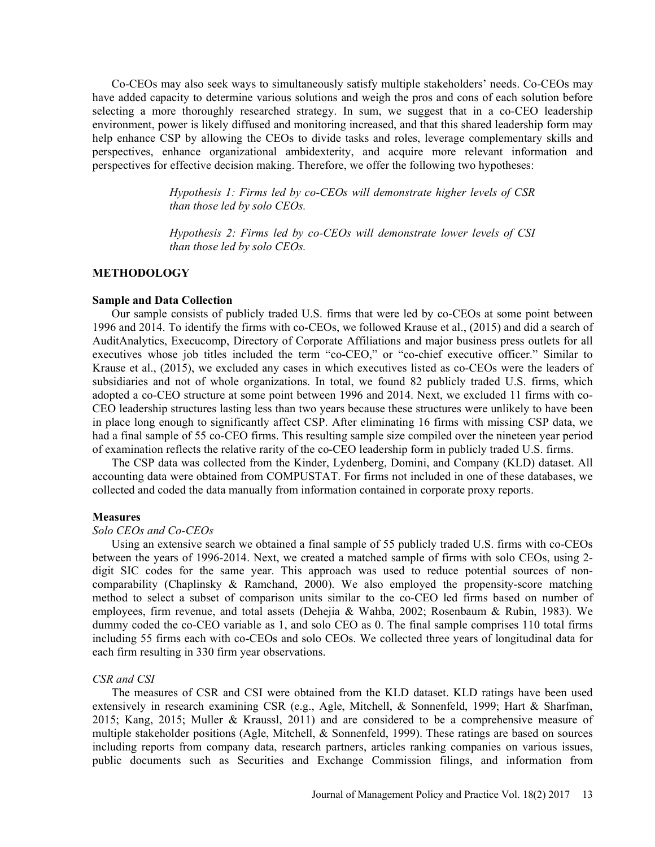Co-CEOs may also seek ways to simultaneously satisfy multiple stakeholders' needs. Co-CEOs may have added capacity to determine various solutions and weigh the pros and cons of each solution before selecting a more thoroughly researched strategy. In sum, we suggest that in a co-CEO leadership environment, power is likely diffused and monitoring increased, and that this shared leadership form may help enhance CSP by allowing the CEOs to divide tasks and roles, leverage complementary skills and perspectives, enhance organizational ambidexterity, and acquire more relevant information and perspectives for effective decision making. Therefore, we offer the following two hypotheses:

> Hypothesis 1: Firms led by co-CEOs will demonstrate higher levels of CSR than those led by solo CEOs.

> Hypothesis 2: Firms led by co-CEOs will demonstrate lower levels of CSI than those led by solo CEOs.

## METHODOLOGY

### Sample and Data Collection

Our sample consists of publicly traded U.S. firms that were led by co-CEOs at some point between 1996 and 2014. To identify the firms with co-CEOs, we followed Krause et al., (2015) and did a search of AuditAnalytics, Execucomp, Directory of Corporate Affiliations and major business press outlets for all executives whose job titles included the term "co-CEO," or "co-chief executive officer." Similar to Krause et al., (2015), we excluded any cases in which executives listed as co-CEOs were the leaders of subsidiaries and not of whole organizations. In total, we found 82 publicly traded U.S. firms, which adopted a co-CEO structure at some point between 1996 and 2014. Next, we excluded 11 firms with co-CEO leadership structures lasting less than two years because these structures were unlikely to have been in place long enough to significantly affect CSP. After eliminating 16 firms with missing CSP data, we had a final sample of 55 co-CEO firms. This resulting sample size compiled over the nineteen year period of examination reflects the relative rarity of the co-CEO leadership form in publicly traded U.S. firms.

The CSP data was collected from the Kinder, Lydenberg, Domini, and Company (KLD) dataset. All accounting data were obtained from COMPUSTAT. For firms not included in one of these databases, we collected and coded the data manually from information contained in corporate proxy reports.

#### **Measures**

#### Solo CEOs and Co-CEOs

Using an extensive search we obtained a final sample of 55 publicly traded U.S. firms with co-CEOs between the years of 1996-2014. Next, we created a matched sample of firms with solo CEOs, using 2 digit SIC codes for the same year. This approach was used to reduce potential sources of noncomparability (Chaplinsky & Ramchand, 2000). We also employed the propensity-score matching method to select a subset of comparison units similar to the co-CEO led firms based on number of employees, firm revenue, and total assets (Dehejia & Wahba, 2002; Rosenbaum & Rubin, 1983). We dummy coded the co-CEO variable as 1, and solo CEO as 0. The final sample comprises 110 total firms including 55 firms each with co-CEOs and solo CEOs. We collected three years of longitudinal data for each firm resulting in 330 firm year observations.

#### CSR and CSI

The measures of CSR and CSI were obtained from the KLD dataset. KLD ratings have been used extensively in research examining CSR (e.g., Agle, Mitchell, & Sonnenfeld, 1999; Hart & Sharfman, 2015; Kang, 2015; Muller & Kraussl, 2011) and are considered to be a comprehensive measure of multiple stakeholder positions (Agle, Mitchell, & Sonnenfeld, 1999). These ratings are based on sources including reports from company data, research partners, articles ranking companies on various issues, public documents such as Securities and Exchange Commission filings, and information from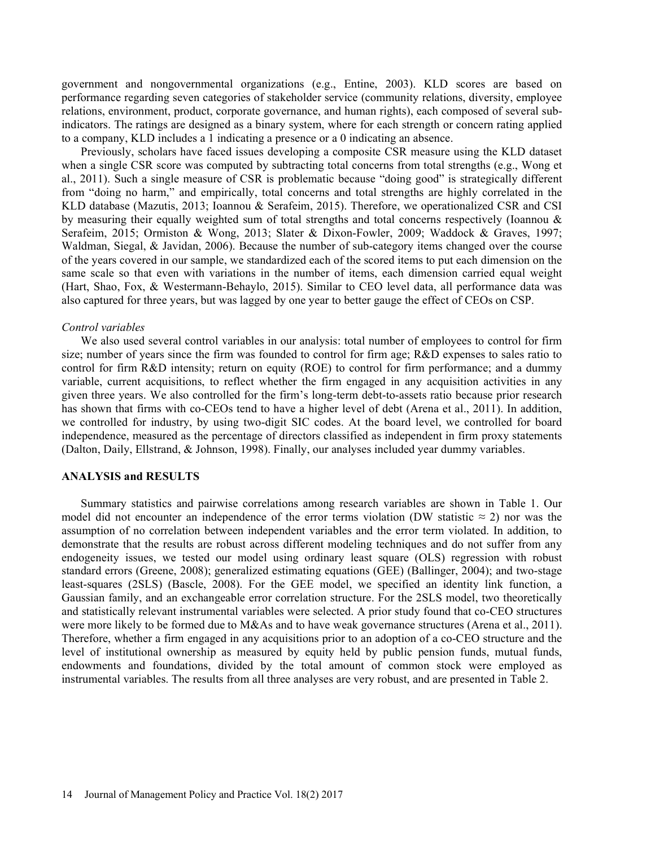government and nongovernmental organizations (e.g., Entine, 2003). KLD scores are based on performance regarding seven categories of stakeholder service (community relations, diversity, employee relations, environment, product, corporate governance, and human rights), each composed of several subindicators. The ratings are designed as a binary system, where for each strength or concern rating applied to a company, KLD includes a 1 indicating a presence or a 0 indicating an absence.

Previously, scholars have faced issues developing a composite CSR measure using the KLD dataset when a single CSR score was computed by subtracting total concerns from total strengths (e.g., Wong et al., 2011). Such a single measure of CSR is problematic because "doing good" is strategically different from "doing no harm," and empirically, total concerns and total strengths are highly correlated in the KLD database (Mazutis, 2013; Ioannou & Serafeim, 2015). Therefore, we operationalized CSR and CSI by measuring their equally weighted sum of total strengths and total concerns respectively (Ioannou & Serafeim, 2015; Ormiston & Wong, 2013; Slater & Dixon-Fowler, 2009; Waddock & Graves, 1997; Waldman, Siegal, & Javidan, 2006). Because the number of sub-category items changed over the course of the years covered in our sample, we standardized each of the scored items to put each dimension on the same scale so that even with variations in the number of items, each dimension carried equal weight (Hart, Shao, Fox, & Westermann-Behaylo, 2015). Similar to CEO level data, all performance data was also captured for three years, but was lagged by one year to better gauge the effect of CEOs on CSP.

#### Control variables

We also used several control variables in our analysis: total number of employees to control for firm size; number of years since the firm was founded to control for firm age; R&D expenses to sales ratio to control for firm R&D intensity; return on equity (ROE) to control for firm performance; and a dummy variable, current acquisitions, to reflect whether the firm engaged in any acquisition activities in any given three years. We also controlled for the firm's long-term debt-to-assets ratio because prior research has shown that firms with co-CEOs tend to have a higher level of debt (Arena et al., 2011). In addition, we controlled for industry, by using two-digit SIC codes. At the board level, we controlled for board independence, measured as the percentage of directors classified as independent in firm proxy statements (Dalton, Daily, Ellstrand, & Johnson, 1998). Finally, our analyses included year dummy variables.

## ANALYSIS and RESULTS

Summary statistics and pairwise correlations among research variables are shown in Table 1. Our model did not encounter an independence of the error terms violation (DW statistic  $\approx$  2) nor was the assumption of no correlation between independent variables and the error term violated. In addition, to demonstrate that the results are robust across different modeling techniques and do not suffer from any endogeneity issues, we tested our model using ordinary least square (OLS) regression with robust standard errors (Greene, 2008); generalized estimating equations (GEE) (Ballinger, 2004); and two-stage least-squares (2SLS) (Bascle, 2008). For the GEE model, we specified an identity link function, a Gaussian family, and an exchangeable error correlation structure. For the 2SLS model, two theoretically and statistically relevant instrumental variables were selected. A prior study found that co-CEO structures were more likely to be formed due to M&As and to have weak governance structures (Arena et al., 2011). Therefore, whether a firm engaged in any acquisitions prior to an adoption of a co-CEO structure and the level of institutional ownership as measured by equity held by public pension funds, mutual funds, endowments and foundations, divided by the total amount of common stock were employed as instrumental variables. The results from all three analyses are very robust, and are presented in Table 2.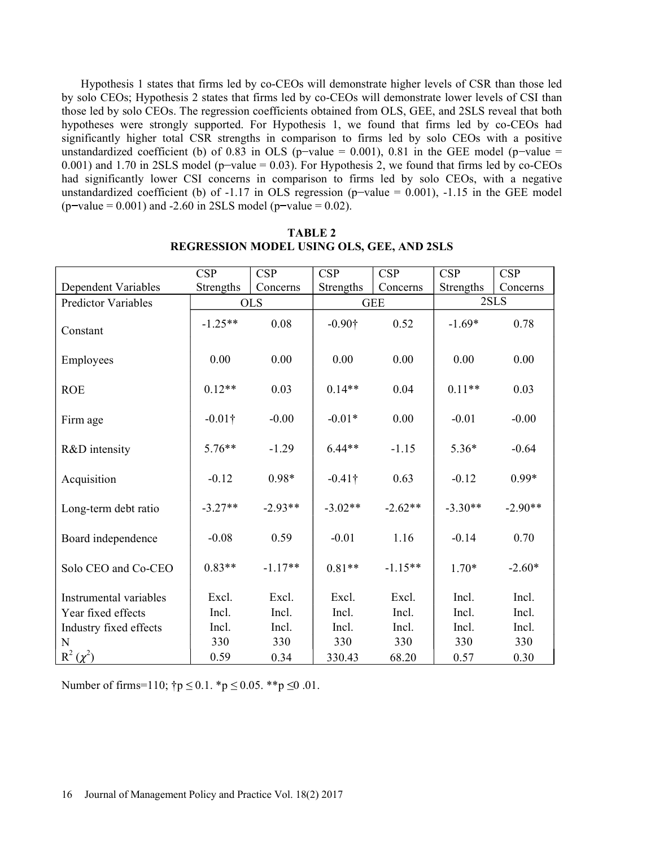Hypothesis 1 states that firms led by co-CEOs will demonstrate higher levels of CSR than those led by solo CEOs; Hypothesis 2 states that firms led by co-CEOs will demonstrate lower levels of CSI than those led by solo CEOs. The regression coefficients obtained from OLS, GEE, and 2SLS reveal that both hypotheses were strongly supported. For Hypothesis 1, we found that firms led by co-CEOs had significantly higher total CSR strengths in comparison to firms led by solo CEOs with a positive unstandardized coefficient (b) of 0.83 in OLS (p-value = 0.001), 0.81 in the GEE model (p-value = 0.001) and 1.70 in 2SLS model (p-value  $= 0.03$ ). For Hypothesis 2, we found that firms led by co-CEOs had significantly lower CSI concerns in comparison to firms led by solo CEOs, with a negative unstandardized coefficient (b) of -1.17 in OLS regression (p-value =  $0.001$ ), -1.15 in the GEE model  $(p$ -value = 0.001) and -2.60 in 2SLS model (p-value = 0.02).

|                            | <b>CSP</b> | <b>CSP</b> | <b>CSP</b>     | <b>CSP</b> | <b>CSP</b> | <b>CSP</b> |
|----------------------------|------------|------------|----------------|------------|------------|------------|
| Dependent Variables        | Strengths  | Concerns   | Strengths      | Concerns   | Strengths  | Concerns   |
| <b>Predictor Variables</b> | <b>OLS</b> |            | <b>GEE</b>     |            | 2SLS       |            |
| Constant                   | $-1.25**$  | 0.08       | $-0.90\dagger$ | 0.52       | $-1.69*$   | 0.78       |
| Employees                  | 0.00       | 0.00       | 0.00           | 0.00       | 0.00       | 0.00       |
| <b>ROE</b>                 | $0.12**$   | 0.03       | $0.14**$       | 0.04       | $0.11**$   | 0.03       |
| Firm age                   | $-0.01$ †  | $-0.00$    | $-0.01*$       | 0.00       | $-0.01$    | $-0.00$    |
| R&D intensity              | $5.76**$   | $-1.29$    | $6.44**$       | $-1.15$    | $5.36*$    | $-0.64$    |
| Acquisition                | $-0.12$    | $0.98*$    | $-0.41$ †      | 0.63       | $-0.12$    | $0.99*$    |
| Long-term debt ratio       | $-3.27**$  | $-2.93**$  | $-3.02**$      | $-2.62**$  | $-3.30**$  | $-2.90**$  |
| Board independence         | $-0.08$    | 0.59       | $-0.01$        | 1.16       | $-0.14$    | 0.70       |
| Solo CEO and Co-CEO        | $0.83**$   | $-1.17**$  | $0.81**$       | $-1.15**$  | $1.70*$    | $-2.60*$   |
| Instrumental variables     | Excl.      | Excl.      | Excl.          | Excl.      | Incl.      | Incl.      |
| Year fixed effects         | Incl.      | Incl.      | Incl.          | Incl.      | Incl.      | Incl.      |
| Industry fixed effects     | Incl.      | Incl.      | Incl.          | Incl.      | Incl.      | Incl.      |
| N                          | 330        | 330        | 330            | 330        | 330        | 330        |
| $R^2(\chi^2)$              | 0.59       | 0.34       | 330.43         | 68.20      | 0.57       | 0.30       |

TABLE 2 REGRESSION MODEL USING OLS, GEE, AND 2SLS

Number of firms=110;  $\uparrow p \le 0.1$ . \* $p \le 0.05$ . \*\*p  $\le 0.01$ .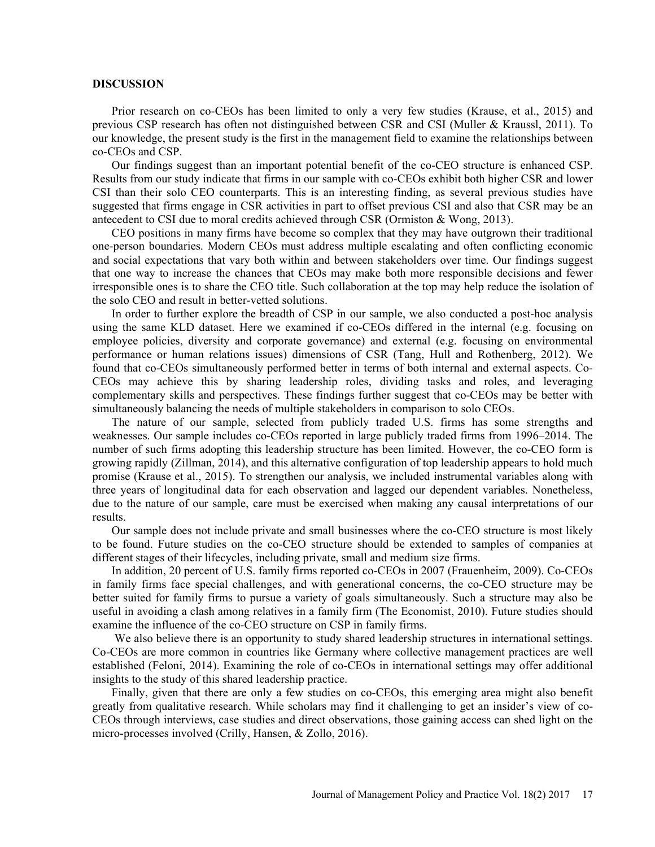#### DISCUSSION

Prior research on co-CEOs has been limited to only a very few studies (Krause, et al., 2015) and previous CSP research has often not distinguished between CSR and CSI (Muller & Kraussl, 2011). To our knowledge, the present study is the first in the management field to examine the relationships between co-CEOs and CSP.

Our findings suggest than an important potential benefit of the co-CEO structure is enhanced CSP. Results from our study indicate that firms in our sample with co-CEOs exhibit both higher CSR and lower CSI than their solo CEO counterparts. This is an interesting finding, as several previous studies have suggested that firms engage in CSR activities in part to offset previous CSI and also that CSR may be an antecedent to CSI due to moral credits achieved through CSR (Ormiston & Wong, 2013).

CEO positions in many firms have become so complex that they may have outgrown their traditional one-person boundaries. Modern CEOs must address multiple escalating and often conflicting economic and social expectations that vary both within and between stakeholders over time. Our findings suggest that one way to increase the chances that CEOs may make both more responsible decisions and fewer irresponsible ones is to share the CEO title. Such collaboration at the top may help reduce the isolation of the solo CEO and result in better-vetted solutions.

In order to further explore the breadth of CSP in our sample, we also conducted a post-hoc analysis using the same KLD dataset. Here we examined if co-CEOs differed in the internal (e.g. focusing on employee policies, diversity and corporate governance) and external (e.g. focusing on environmental performance or human relations issues) dimensions of CSR (Tang, Hull and Rothenberg, 2012). We found that co-CEOs simultaneously performed better in terms of both internal and external aspects. Co-CEOs may achieve this by sharing leadership roles, dividing tasks and roles, and leveraging complementary skills and perspectives. These findings further suggest that co-CEOs may be better with simultaneously balancing the needs of multiple stakeholders in comparison to solo CEOs.

The nature of our sample, selected from publicly traded U.S. firms has some strengths and weaknesses. Our sample includes co-CEOs reported in large publicly traded firms from 1996–2014. The number of such firms adopting this leadership structure has been limited. However, the co-CEO form is growing rapidly (Zillman, 2014), and this alternative configuration of top leadership appears to hold much promise (Krause et al., 2015). To strengthen our analysis, we included instrumental variables along with three years of longitudinal data for each observation and lagged our dependent variables. Nonetheless, due to the nature of our sample, care must be exercised when making any causal interpretations of our results.

Our sample does not include private and small businesses where the co-CEO structure is most likely to be found. Future studies on the co-CEO structure should be extended to samples of companies at different stages of their lifecycles, including private, small and medium size firms.

In addition, 20 percent of U.S. family firms reported co-CEOs in 2007 (Frauenheim, 2009). Co-CEOs in family firms face special challenges, and with generational concerns, the co-CEO structure may be better suited for family firms to pursue a variety of goals simultaneously. Such a structure may also be useful in avoiding a clash among relatives in a family firm (The Economist, 2010). Future studies should examine the influence of the co-CEO structure on CSP in family firms.

We also believe there is an opportunity to study shared leadership structures in international settings. Co-CEOs are more common in countries like Germany where collective management practices are well established (Feloni, 2014). Examining the role of co-CEOs in international settings may offer additional insights to the study of this shared leadership practice.

Finally, given that there are only a few studies on co-CEOs, this emerging area might also benefit greatly from qualitative research. While scholars may find it challenging to get an insider's view of co-CEOs through interviews, case studies and direct observations, those gaining access can shed light on the micro-processes involved (Crilly, Hansen, & Zollo, 2016).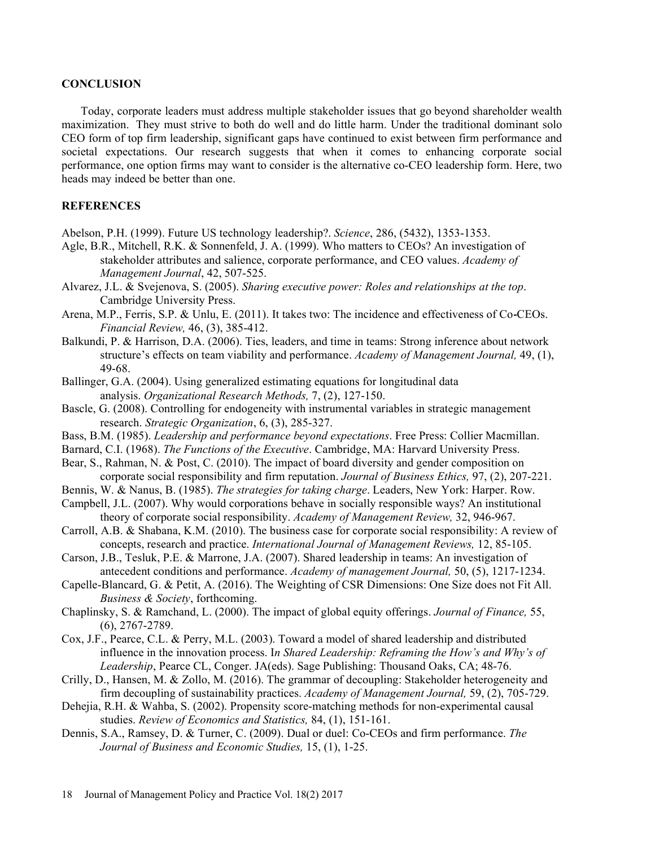#### **CONCLUSION**

Today, corporate leaders must address multiple stakeholder issues that go beyond shareholder wealth maximization. They must strive to both do well and do little harm. Under the traditional dominant solo CEO form of top firm leadership, significant gaps have continued to exist between firm performance and societal expectations. Our research suggests that when it comes to enhancing corporate social performance, one option firms may want to consider is the alternative co-CEO leadership form. Here, two heads may indeed be better than one.

## **REFERENCES**

- Abelson, P.H. (1999). Future US technology leadership?. Science, 286, (5432), 1353-1353.
- Agle, B.R., Mitchell, R.K. & Sonnenfeld, J. A. (1999). Who matters to CEOs? An investigation of stakeholder attributes and salience, corporate performance, and CEO values. Academy of Management Journal, 42, 507-525.
- Alvarez, J.L. & Svejenova, S. (2005). Sharing executive power: Roles and relationships at the top. Cambridge University Press.
- Arena, M.P., Ferris, S.P. & Unlu, E. (2011). It takes two: The incidence and effectiveness of Co CEOs. Financial Review, 46, (3), 385-412.
- Balkundi, P. & Harrison, D.A. (2006). Ties, leaders, and time in teams: Strong inference about network structure's effects on team viability and performance. Academy of Management Journal, 49, (1), 49-68.
- Ballinger, G.A. (2004). Using generalized estimating equations for longitudinal data analysis. Organizational Research Methods, 7, (2), 127-150.
- Bascle, G. (2008). Controlling for endogeneity with instrumental variables in strategic management research. Strategic Organization, 6, (3), 285-327.
- Bass, B.M. (1985). Leadership and performance beyond expectations. Free Press: Collier Macmillan.
- Barnard, C.I. (1968). The Functions of the Executive. Cambridge, MA: Harvard University Press.
- Bear, S., Rahman, N. & Post, C. (2010). The impact of board diversity and gender composition on corporate social responsibility and firm reputation. Journal of Business Ethics, 97, (2), 207-221.
- Bennis, W. & Nanus, B. (1985). The strategies for taking charge. Leaders, New York: Harper. Row.
- Campbell, J.L. (2007). Why would corporations behave in socially responsible ways? An institutional theory of corporate social responsibility. Academy of Management Review, 32, 946-967.
- Carroll, A.B. & Shabana, K.M. (2010). The business case for corporate social responsibility: A review of concepts, research and practice. International Journal of Management Reviews, 12, 85-105.
- Carson, J.B., Tesluk, P.E. & Marrone, J.A. (2007). Shared leadership in teams: An investigation of antecedent conditions and performance. Academy of management Journal, 50, (5), 1217-1234.
- Capelle-Blancard, G. & Petit, A. (2016). The Weighting of CSR Dimensions: One Size does not Fit All. Business & Society, forthcoming.
- Chaplinsky, S. & Ramchand, L. (2000). The impact of global equity offerings. Journal of Finance, 55, (6), 2767-2789.
- Cox, J.F., Pearce, C.L. & Perry, M.L. (2003). Toward a model of shared leadership and distributed influence in the innovation process. In Shared Leadership: Reframing the How's and Why's of Leadership, Pearce CL, Conger. JA(eds). Sage Publishing: Thousand Oaks, CA; 48-76.
- Crilly, D., Hansen, M. & Zollo, M. (2016). The grammar of decoupling: Stakeholder heterogeneity and firm decoupling of sustainability practices. Academy of Management Journal, 59, (2), 705-729.
- Dehejia, R.H. & Wahba, S. (2002). Propensity score-matching methods for non-experimental causal studies. Review of Economics and Statistics, 84, (1), 151-161.
- Dennis, S.A., Ramsey, D. & Turner, C. (2009). Dual or duel: Co-CEOs and firm performance. The Journal of Business and Economic Studies, 15, (1), 1-25.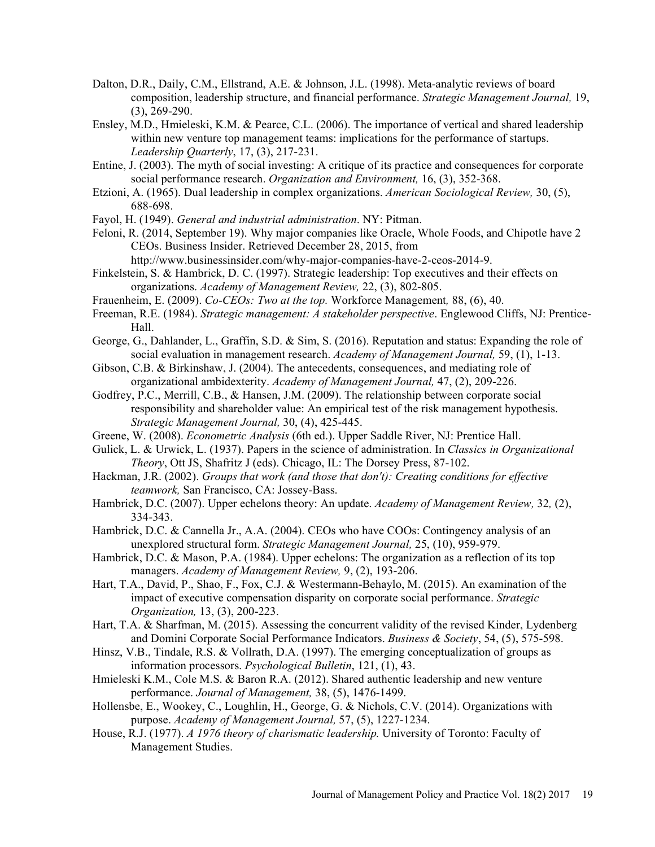- Dalton, D.R., Daily, C.M., Ellstrand, A.E. & Johnson, J.L. (1998). Meta-analytic reviews of board composition, leadership structure, and financial performance. Strategic Management Journal, 19, (3), 269-290.
- Ensley, M.D., Hmieleski, K.M. & Pearce, C.L. (2006). The importance of vertical and shared leadership within new venture top management teams: implications for the performance of startups. Leadership Quarterly, 17, (3), 217-231.
- Entine, J. (2003). The myth of social investing: A critique of its practice and consequences for corporate social performance research. Organization and Environment, 16, (3), 352-368.
- Etzioni, A. (1965). Dual leadership in complex organizations. American Sociological Review, 30, (5), 688-698.
- Fayol, H. (1949). General and industrial administration. NY: Pitman.
- Feloni, R. (2014, September 19). Why major companies like Oracle, Whole Foods, and Chipotle have 2 CEOs. Business Insider. Retrieved December 28, 2015, from
	- http://www.businessinsider.com/why-major-companies-have-2-ceos-2014-9.
- Finkelstein, S. & Hambrick, D. C. (1997). Strategic leadership: Top executives and their effects on organizations. Academy of Management Review, 22, (3), 802-805.
- Frauenheim, E. (2009). Co-CEOs: Two at the top. Workforce Management, 88, (6), 40.
- Freeman, R.E. (1984). Strategic management: A stakeholder perspective. Englewood Cliffs, NJ: Prentice-Hall.
- George, G., Dahlander, L., Graffin, S.D. & Sim, S. (2016). Reputation and status: Expanding the role of social evaluation in management research. Academy of Management Journal, 59, (1), 1-13.
- Gibson, C.B. & Birkinshaw, J. (2004). The antecedents, consequences, and mediating role of organizational ambidexterity. Academy of Management Journal, 47, (2), 209-226.
- Godfrey, P.C., Merrill, C.B., & Hansen, J.M. (2009). The relationship between corporate social responsibility and shareholder value: An empirical test of the risk management hypothesis. Strategic Management Journal, 30, (4), 425-445.
- Greene, W. (2008). Econometric Analysis (6th ed.). Upper Saddle River, NJ: Prentice Hall.
- Gulick, L. & Urwick, L. (1937). Papers in the science of administration. In Classics in Organizational Theory, Ott JS, Shafritz J (eds). Chicago, IL: The Dorsey Press, 87-102.
- Hackman, J.R. (2002). Groups that work (and those that don't): Creating conditions for effective teamwork, San Francisco, CA: Jossey-Bass.
- Hambrick, D.C. (2007). Upper echelons theory: An update. Academy of Management Review, 32, (2), 334-343.
- Hambrick, D.C. & Cannella Jr., A.A. (2004). CEOs who have COOs: Contingency analysis of an unexplored structural form. Strategic Management Journal, 25, (10), 959-979.
- Hambrick, D.C. & Mason, P.A. (1984). Upper echelons: The organization as a reflection of its top managers. Academy of Management Review, 9, (2), 193-206.
- Hart, T.A., David, P., Shao, F., Fox, C.J. & Westermann-Behaylo, M. (2015). An examination of the impact of executive compensation disparity on corporate social performance. Strategic Organization, 13, (3), 200-223.
- Hart, T.A. & Sharfman, M. (2015). Assessing the concurrent validity of the revised Kinder, Lydenberg and Domini Corporate Social Performance Indicators. Business & Society, 54, (5), 575-598.
- Hinsz, V.B., Tindale, R.S. & Vollrath, D.A. (1997). The emerging conceptualization of groups as information processors. Psychological Bulletin, 121, (1), 43.
- Hmieleski K.M., Cole M.S. & Baron R.A. (2012). Shared authentic leadership and new venture performance. Journal of Management, 38, (5), 1476-1499.
- Hollensbe, E., Wookey, C., Loughlin, H., George, G. & Nichols, C.V. (2014). Organizations with purpose. Academy of Management Journal, 57, (5), 1227-1234.
- House, R.J. (1977). A 1976 theory of charismatic leadership. University of Toronto: Faculty of Management Studies.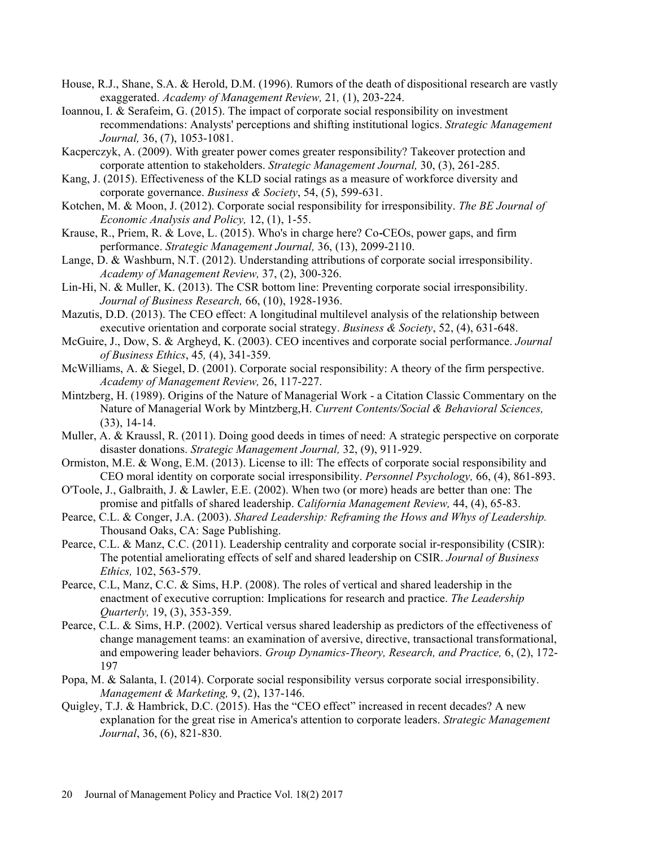- House, R.J., Shane, S.A. & Herold, D.M. (1996). Rumors of the death of dispositional research are vastly exaggerated. Academy of Management Review, 21, (1), 203-224.
- Ioannou, I. & Serafeim, G. (2015). The impact of corporate social responsibility on investment recommendations: Analysts' perceptions and shifting institutional logics. Strategic Management Journal, 36, (7), 1053-1081. House, R.J., Shane, S.A. & Herold, D.M. (1996). Rumors of the death of dispositional research are vastly<br>
exaggerated. Academy of Management Review, 21, (1), 203-224.<br>
Ioannou, 1. & Serafeim, G. (2015). The impact of corpo
- Kacperczyk, A. (2009). With greater power comes greater responsibility? Takeover protection and corporate attention to stakeholders. Strategic Management Journal, 30, (3), 261-285.
- Kang, J. (2015). Effectiveness of the KLD social ratings as a measure of workforce diversity and corporate governance. Business & Society, 54, (5), 599-631.
- Economic Analysis and Policy, 12, (1), 1-55.
- Krause, R., Priem, R. & Love, L. (2015). Who's in charge here? Co CEOs, power gaps, and firm performance. Strategic Management Journal, 36, (13), 2099-2110.
- Lange, D. & Washburn, N.T. (2012). Understanding attributions of corporate social irresponsibility. Academy of Management Review, 37, (2), 300-326.
- Lin-Hi, N. & Muller, K. (2013). The CSR bottom line: Preventing corporate social irresponsibility. Journal of Business Research, 66, (10), 1928-1936.
- Mazutis, D.D. (2013). The CEO effect: A longitudinal multilevel analysis of the relationship between executive orientation and corporate social strategy. Business & Society, 52, (4), 631-648.
- McGuire, J., Dow, S. & Argheyd, K. (2003). CEO incentives and corporate social performance. Journal of Business Ethics, 45, (4), 341-359.
- McWilliams, A. & Siegel, D. (2001). Corporate social responsibility: A theory of the firm perspective. Academy of Management Review, 26, 117-227.
- Mintzberg, H. (1989). Origins of the Nature of Managerial Work a Citation Classic Commentary on the Nature of Managerial Work by Mintzberg,H. Current Contents/Social & Behavioral Sciences, (33), 14-14.
- Muller, A. & Kraussl, R. (2011). Doing good deeds in times of need: A strategic perspective on corporate disaster donations. Strategic Management Journal, 32, (9), 911-929.
- Ormiston, M.E. & Wong, E.M. (2013). License to ill: The effects of corporate social responsibility and CEO moral identity on corporate social irresponsibility. Personnel Psychology, 66, (4), 861-893.
- O'Toole, J., Galbraith, J. & Lawler, E.E. (2002). When two (or more) heads are better than one: The promise and pitfalls of shared leadership. California Management Review, 44, (4), 65-83.
- Pearce, C.L. & Conger, J.A. (2003). Shared Leadership: Reframing the Hows and Whys of Leadership. Thousand Oaks, CA: Sage Publishing.
- Pearce, C.L. & Manz, C.C. (2011). Leadership centrality and corporate social ir-responsibility (CSIR): The potential ameliorating effects of self and shared leadership on CSIR. Journal of Business Ethics, 102, 563-579.
- Pearce, C.L, Manz, C.C. & Sims, H.P. (2008). The roles of vertical and shared leadership in the enactment of executive corruption: Implications for research and practice. The Leadership Quarterly, 19, (3), 353-359.
- Pearce, C.L. & Sims, H.P. (2002). Vertical versus shared leadership as predictors of the effectiveness of change management teams: an examination of aversive, directive, transactional transformational, and empowering leader behaviors. Group Dynamics-Theory, Research, and Practice, 6, (2), 172- 197
- Popa, M. & Salanta, I. (2014). Corporate social responsibility versus corporate social irresponsibility. Management & Marketing, 9, (2), 137-146.
- Quigley, T.J. & Hambrick, D.C. (2015). Has the "CEO effect" increased in recent decades? A new explanation for the great rise in America's attention to corporate leaders. Strategic Management Journal, 36, (6), 821-830.